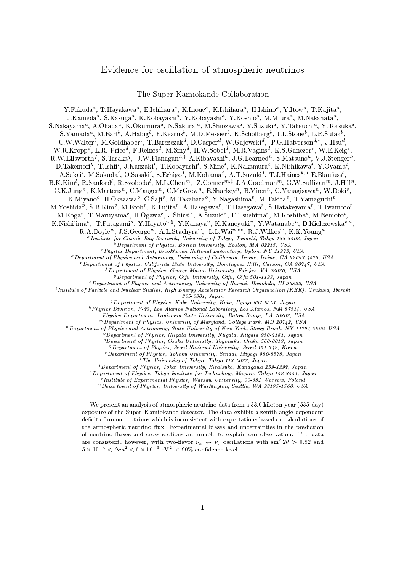## Evidence for oscillation of atmospheric neutrinos

The Super-Kamiokande Collaboration

rukuda , I.Hayakawa , E.Ichihara , K.Inoue , K.Ishihara , H.Ishiho , Y.Itow , I.Kajita , J.Kameda , S.Kasuga , K.Kobayasm , T.Kobayasm , T.Kosmo , M.Miura , M.Nakahata , , , S.Nakayama , A.Okada , K.Okumura , N.Sakurai , N.Smozawa , Y.Suzuki , Y.Takeuchi , Y.Totsuka s. ramada, M.Earl, A.Habig, E.Kearns, M.D.Messier, K.Scholberg, J.L.Stone, L.K.Sulak, , U.W.Walter, M.Goldhaber, T.Barszczak", D.Casper", W.Gajewski", P.G.Halverson", J.Hsu",  $W.R.RIopp^*, L.R.$  Priced, P. Reinesd, M.Shilyd, H.W.Sobeld, M.R. Vaginsd, R.S.Ganezerd, W.E.Keigd, , R.W.Ellsworth', S.Tasaka<sup>9</sup>, J.W.Flanagan<sup>on</sup> A.Kibayashii, J.G.Learnedh, S.Matsunoh, V.J.Stengerh, D.Takemori", T.Ishii , J.Kanzaki', T.Kobayashi', S.Mine', K.Nakamura', K.Nishikawa', T.Oyama', A.Sakaii , M.Sakuda<sup>i</sup> , O.Sasakii , S.Echigoj , M.Kohama<sup>j</sup> , A.T.Suzuki<sup>j</sup> , T.J.Hainesk;d E.Blaufussl , B.K.KIm , R.Samord , R.Svoboda , M.L.Chenm, Z.Connermy J.A.Goodmanm, G.W.Sumvanm, J.Hillm, , U.K.Jung , K.Martens , C.Mauger , C.McGrew , E.Sharkey , D.Viren , C.Tanagisawa , W.Doki , n.Miyaho , n.Okazawa , O.Saji , M.Takahata , Y.Nagashima<sup>r</sup>, M.Takita<sup>r</sup>, T.Tamaguchi<sup>r</sup>, M.Yosmua<sup>r</sup>, S.D.Kim<sup>3</sup>, M.Eton, K.Fujitar, A.Hasegawar, T.Hasegawar, S.Hatakeyamar, T.Iwamotor, M.Koga , I.Maruyama , H.Ogawa , J.Shirai , A.Suzuki , F.Isushima , M.Koshiba , M.Nemoto , K.Nishijimat, T.Futagamit, Y.Hayatotza, Y.Kanayat, K.Kaneyukit, Y.Watanabet, D.Kielczewskatzt, ,  $R.A.DOYIC^*, J.S.GeOTgC^*, A.L.SUaCIIYIA^*, L.L.WaI^*, \ldots, R.J.WIIKes^*, R.A.IOUIg^*$ "Institute for Cosmic Ray Research, University of Tokyo, Tanashi, Tokyo 188-8502, Japan bDepartment of Physics, Boston University, Boston, MA 02215, USA cPhysics Department, Brookhaven National Laboratory, Upton, NY 11973, USA dDepartment of Physics and Astronomy, University of California, Irvine, Irvine, CA 92697-4575, USA  $^e$  Department of Physics, California State University, Dominguez Hills, Carson, CA 90747, USA f Department of Physics, George Mason University, Fairfax, VA 22030, USA gDepartment of Physics, Gifu University, Gifu, Gifu 501-1193, Japan  $h$  Department of Physics and Astronomy, University of Hawaii, Honolulu, HI 96822, USA  $^{i}$ Institute of Particle and Nuclear Studies, High Energy Accelerator Research Organization (KEK), Tsukuba, Ibaraki 305-0801, Japan jDepartment of Physics, Kobe University, Kobe, Hyogo 657-8501, Japan kPhysics Division, P-23, Los Alamos National Laboratory, Los Alamos, NM 87544, USA. lPhysics Department, Louisiana State University, Baton Rouge, LA 70803, USA mDepartment of Physics, University of Maryland, College Park, MD 20742, USA nDepartment of Physics and Astronomy, State University of New York, Stony Brook, NY 11794-3800, USA  $^{\circ}$  Department of Physics, Niigata University, Niigata, Niigata 950-2181, Japan pDepartment of Physics, Osaka University, Toyonaka, Osaka 560-0043, Japan <sup>q</sup> Department of Physics, Seoul National University, Seoul 151-742, Korea rDepartment of Physics, Tohoku University, Sendai, Miyagi 980-8578, Japan sThe University of Tokyo, Tokyo 113-0033, Japan tDepartment of Physics, Tokai University, Hiratsuka, Kanagawa 259-1292, Japan  $u$  Department of Physics, Tokyo Institute for Technology, Meguro, Tokyo 152-8551, Japan

v Institute of Experimental Physics, Warsaw University, 00-681 Warsaw, Poland

wDepartment of Physics, University of Washington, Seattle, WA 98195-1560, USA

We present an analysis of atmospheric neutrino data from a 33.0 kiloton-year (535-day) exposure of the Super-Kamiokande detector. The data exhibit a zenith angle dependent deficit of muon neutrinos which is inconsistent with expectations based on calculations of the atmospheric neutrino flux. Experimental biases and uncertainties in the prediction of neutrino fluxes and cross sections are unable to explain our observation. The data are consistent, nowever, with two-flavor  $\nu_\mu \leftrightarrow \nu_\tau$  oscillations with sin<sup>-</sup> 20  $>$  0.82 and  $5 \times 10^{-1} < \Delta m^{-} < 6 \times 10^{-1}$  eV at 90% confidence level.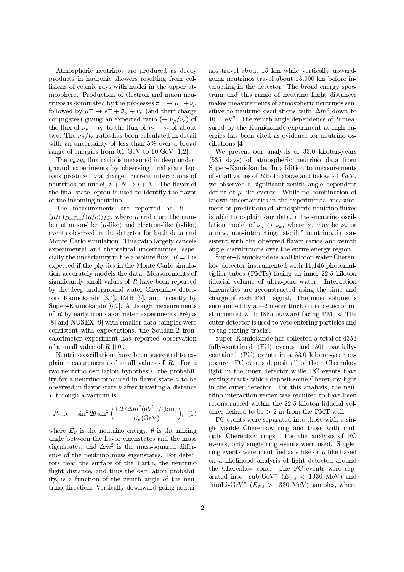Atmospheric neutrinos are produced as decay products in hadronic showers resulting from collisions of cosmic rays with nuclei in the upper atmosphere. Production of electron and muon neutrinos is dominated by the processes  $\pi^+ \to \mu^+ + \nu_\mu$ followed by  $\mu^+ \to e^+ + \bar{\nu}_\mu + \nu_e$  (and their charge conjugates) giving an expected ratio ( $\equiv \nu_{\mu}/\nu_{\rm e}$ ) of the flux of  $\nu_{\mu} + \bar{\nu}_{\mu}$  to the flux of  $\nu_{e} + \bar{\nu}_{e}$  of about two. The  $\nu_{\mu}/\nu_{e}$  ratio has been calculated in detail with an uncertainty of less than 5% over a broad range of energies from 0.1 GeV to 10 GeV [1,2].

The  $\nu_{\mu}/\nu_{\rm e}$  flux ratio is measured in deep underground experiments by observing final-state leptons produced via charged-current interactions of neutrinos on nuclei,  $\nu + N \rightarrow l + X$ . The flavor of the final state lepton is used to identify the flavor of the incoming neutrino.

The measurements are reported as  $R \equiv$  $(\mu/e)_{DATA}/(\mu/e)_{MC}$ , where  $\mu$  and e are the number of muon-like  $(\mu$ -like) and electron-like (e-like) events observed in the detector for both data and Monte Carlo simulation. This ratio largely cancels experimental and theoretical uncertainties, especially the uncertainty in the absolute flux.  $R = 1$  is expected if the physics in the Monte Carlo simulation accurately models the data. Measurements of significantly small values of  $R$  have been reported by the deep underground water Cherenkov detectors Kamiokande [3,4], IMB [5], and recently by Super-Kamiokande  $[6,7]$ . Although measurements of  $R$  by early iron-calorimeter experiments Fréjus [8] and NUSEX [9] with smaller data samples were consistent with expectations, the Soudan-2 ironcalorimeter experiment has reported observation of a small value of  $R$  [10].

Neutrino oscillations have been suggested to explain measurements of small values of R. For a two-neutrino oscillation hypothesis, the probability for a neutrino produced in flavor state  $a$  to be observed in flavor state  $b$  after traveling a distance L through a vacuum is:

$$
P_{a \to b} = \sin^2 2\theta \sin^2 \left(\frac{1.27 \Delta m^2 (\text{eV}^2) L (\text{km})}{E_\nu (\text{GeV})}\right), (1) \quad \text{un}
$$

where  $E_{\nu}$  is the neutrino energy,  $\theta$  is the mixing angle between the 
avor eigenstates and the mass eigenstates, and  $\Delta m^2$  is the mass-squared difference of the neutrino mass eigenstates. For detectors near the surface of the Earth, the neutrino flight distance, and thus the oscillation probability, is a function of the zenith angle of the neutrino direction. Vertically downward-going neutrinos travel about 15 km while vertically upwardgoing neutrinos travel about 13,000 km before interacting in the detector. The broad energy spectrum and this range of neutrino flight distances makes measurements of atmospheric neutrinos sensitive to neutrino oscillations with  $\Delta m^2$  down to  $10 - eV$ . The zenith angle dependence of  $R$  measured by the Kamiokande experiment at high energies has been cited as evidence for neutrino oscillations [4].

We present our analysis of 33.0 kiloton-years (535 days) of atmospheric neutrino data from Super-Kamiokande. In addition to measurements of small values of R both above and below  $\sim$ 1 GeV, we observed a signicant zenith angle dependent deficit of  $\mu$ -like events. While no combination of known uncertainties in the experimental measurement or predictions of atmospheric neutrino fluxes is able to explain our data, a two-neutrino oscillation model of  $\nu_\mu \leftrightarrow \nu_x$ , where  $\nu_x$  may be  $\nu_\tau$  or a new, non-interacting "sterile" neutrino, is consistent with the observed flavor ratios and zenith angle distributions over the entire energy region.

Super-Kamiokande is a 50 kiloton water Cherenkov detector instrumented with 11,146 photomultiplier tubes (PMTs) facing an inner 22.5 kiloton fiducial volume of ultra-pure water. Interaction kinematics are reconstructed using the time and charge of each PMT signal. The inner volume is surrounded by a  $\sim$ 2 meter thick outer detector instrumented with 1885 outward-facing PMTs. The outer detector is used to veto entering particles and to tag exiting tracks.

Super-Kamiokande has collected a total of 4353 fully-contained (FC) events and 301 partiallycontained (PC) events in a 33.0 kiloton-year exposure. FC events deposit all of their Cherenkov light in the inner detector while PC events have exiting tracks which deposit some Cherenkov light in the outer detector. For this analysis, the neutrino interaction vertex was required to have been reconstructed within the 22.5 kiloton fiducial volume, defined to be  $> 2$  m from the PMT wall.

FC events were separated into those with a single visible Cherenkov ring and those with multiple Cherenkov rings. For the analysis of FC events, only single-ring events were used. Singlering events were identified as  $e$ -like or  $\mu$ -like based on a likelihood analysis of light detected around the Cherenkov cone. The FC events were separated into "sub-GeV"  $(E_{vis} < 1330 \text{ MeV})$  and "multi-GeV"  $(E_{vis} > 1330 \text{ MeV})$  samples, where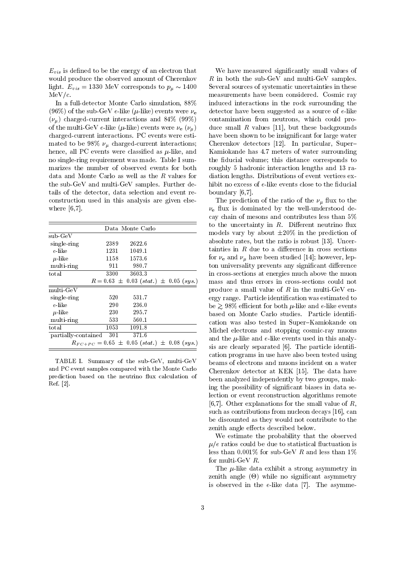$E_{vis}$  is defined to be the energy of an electron that would produce the observed amount of Cherenkov light.  $E_{vis} = 1330 \text{ MeV}$  corresponds to  $p_{\mu} \sim 1400$  $MeV/c$ .

In a full-detector Monte Carlo simulation, 88% (96%) of the sub-GeV e-like ( $\mu$ -like) events were  $\nu_e$  $(\nu_{\mu})$  charged-current interactions and 84% (99%) of the multi-GeV e-like ( $\mu$ -like) events were  $\nu_e$  ( $\nu_\mu$ ) charged-current interactions. PC events were estimated to be 98%  $\nu_{\mu}$  charged-current interactions; hence, all PC events were classified as  $\mu$ -like, and no single-ring requirement was made. Table I summarizes the number of observed events for both data and Monte Carlo as well as the R values for the sub-GeV and multi-GeV samples. Further details of the detector, data selection and event reconstruction used in this analysis are given elsewhere [6,7].

|                     | Data Monte Carlo                                    |                                             |  |
|---------------------|-----------------------------------------------------|---------------------------------------------|--|
| $sub-GeV$           |                                                     |                                             |  |
| single-ring         | 2389                                                | 2622.6                                      |  |
| e like              | 1231                                                | 1049.1                                      |  |
| $\mu$ like          | 1158                                                | 1573.6                                      |  |
| multi-ring          | 911                                                 | 980.7                                       |  |
| total               | 3300                                                | 3603.3                                      |  |
|                     |                                                     | $R = 0.63 \pm 0.03 (stat.) \pm 0.05 (sys.)$ |  |
| multi GeV           |                                                     |                                             |  |
| single-ring         | 520                                                 | 531.7                                       |  |
| e-like              | 290                                                 | 236.0                                       |  |
| $\mu$ like          | 230                                                 | 295.7                                       |  |
| multi-ring          | 533                                                 | 560.1                                       |  |
| total               | 1053                                                | 1091.8                                      |  |
| partially-contained | 301                                                 | 371.6                                       |  |
|                     | $R_{FC+PC} = 0.65 \pm 0.05 (stat.) \pm 0.08 (sys.)$ |                                             |  |

TABLE I. Summary of the sub-GeV, multi-GeV and PC event samples compared with the Monte Carlo prediction based on the neutrino flux calculation of Ref. [2].

We have measured signicantly small values of  $R$  in both the sub-GeV and multi-GeV samples. Several sources of systematic uncertainties in these measurements have been considered. Cosmic ray induced interactions in the rock surrounding the detector have been suggested as a source of e-like contamination from neutrons, which could produce small  $R$  values [11], but these backgrounds have been shown to be insignificant for large water Cherenkov detectors [12]. In particular, Super{ Kamiokande has 4.7 meters of water surrounding the fiducial volume; this distance corresponds to roughly 5 hadronic interaction lengths and 13 radiation lengths. Distributions of event vertices exhibit no excess of  $e$ -like events close to the fiducial boundary [6,7].

The prediction of the ratio of the  $\nu_{\mu}$  flux to the  $\nu_e$  flux is dominated by the well-understood decay chain of mesons and contributes less than 5% to the uncertainty in  $R$ . Different neutrino flux models vary by about  $\pm 20\%$  in the prediction of absolute rates, but the ratio is robust [13]. Uncertainties in  $R$  due to a difference in cross sections for  $\nu_e$  and  $\nu_\mu$  have been studied [14]; however, lepton universality prevents any significant difference in cross-sections at energies much above the muon mass and thus errors in cross-sections could not produce a small value of  $R$  in the multi-GeV energy range. Particle identication was estimated to be  $\geq 98\%$  efficient for both  $\mu$ -like and e-like events based on Monte Carlo studies. Particle identification was also tested in Super-Kamiokande on Michel electrons and stopping cosmic-ray muons and the  $\mu$ -like and e-like events used in this analysis are clearly separated  $[6]$ . The particle identification programs in use have also been tested using beams of electrons and muons incident on a water Cherenkov detector at KEK [15]. The data have been analyzed independently by two groups, making the possibility of signicant biases in data selection or event reconstruction algorithms remote [6,7]. Other explanations for the small value of  $R$ , such as contributions from nucleon decays [16], can be discounted as they would not contribute to the zenith angle effects described below.

We estimate the probability that the observed  $u/e$  ratios could be due to statistical fluctuation is less than  $0.001\%$  for sub-GeV R and less than  $1\%$ for multi-GeV R.

The  $\mu$ -like data exhibit a strong asymmetry in  $\mathbf{r}$  and angle  $\mathbf{r}$  and as in the significant asymmetry asymmetry asymmetry asymmetry asymmetry asymmetry. is observed in the e-like data [7]. The asymme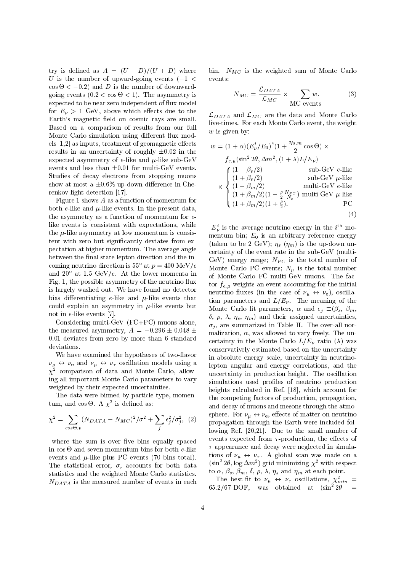try is defined as  $A = (U - D)/(U + D)$  where U is the number of upward-going events  $(-1 <$  events: cos - < 0:2) and D is the number of downward- $\mathbf{C}$  as a cost of the asymmetry is a cost of the asymmetry is a cost of the asymmetry is a cost of the asymmetry is a cost of the asymmetry is a cost of the asymmetry is a cost of the asymmetry is a cost of the asymme expected to be near zero independent of flux model for  $E_{\nu} > 1$  GeV, above which effects due to the Earth's magnetic field on cosmic rays are small. Based on a comparison of results from our full Monte Carlo simulation using different flux models  $[1,2]$  as inputs, treatment of geomagnetic effects results in an uncertainty of roughly  $\pm 0.02$  in the expected asymmetry of e-like and  $\mu$ -like sub-GeV events and less than  $\pm 0.01$  for multi-GeV events. Studies of decay electrons from stopping muons show at most a  $\pm 0.6\%$  up-down difference in Cherenkov light detection [17].

Figure 1 shows A as a function of momentum for both e-like and  $\mu$ -like events. In the present data, the asymmetry as a function of momentum for elike events is consistent with expectations, while the  $\mu$ -like asymmetry at low momentum is consistent with zero but signicantly deviates from expectation at higher momentum. The average angle between the final state lepton direction and the incoming neutrino direction is 55<sup>°</sup> at  $p = 400 \text{ MeV}/c$ and  $20^{\circ}$  at 1.5 GeV/c. At the lower momenta in Fig. 1, the possible asymmetry of the neutrino flux is largely washed out. We have found no detector bias differentiating  $e$ -like and  $\mu$ -like events that could explain an asymmetry in  $\mu$ -like events but not in e-like events [7].

Considering multi-GeV (FC+PC) muons alone, the measured asymmetry,  $A = -0.296 \pm 0.048 \pm 0.048$ 0:01 deviates from zero by more than 6 standard deviations.

We have examined the hypotheses of two-flavor  $\mu$  is a positive  $\mu$  and  $\mu$  and  $\mu$  and  $\mu$  and  $\mu$  and  $\mu$  and  $\mu$ <sup>2</sup> comparison of data and Monte Carlo, allowing all important Monte Carlo parameters to vary weighted by their expected uncertainties.

The data were binned by particle type, momen- $\text{tum}, \text{ and } \cos \Theta$ . A  $\chi$  is defined as:

$$
\chi^2 = \sum_{\cos\Theta, p} (N_{DATA} - N_{MC})^2 / \sigma^2 + \sum_j \epsilon_j^2 / \sigma_j^2, \tag{2} \begin{array}{c} \text{sphere.} \text{ F} \\ \text{propagati} \\ \text{lowing} \text{ R} \end{array}
$$

where the sum is over five bins equally spaced events and  $\mu$ -like plus PC events (70 bins total). The statistical error,  $\sigma$ , accounts for both data statistics and the weighted Monte Carlo statistics.  $N_{DATA}$  is the measured number of events in each bin.  $N_{MC}$  is the weighted sum of Monte Carlo

$$
N_{MC} = \frac{\mathcal{L}_{DATA}}{\mathcal{L}_{MC}} \times \sum_{\text{MC events}} w.
$$
 (3)

 $\mathcal{L}_{DATA}$  and  $\mathcal{L}_{MC}$  are the data and Monte Carlo live-times. For each Monte Carlo event, the weight  $w$  is given by:

$$
w = (1 + \alpha) (E_{\nu}^{i}/E_0)^{\delta} (1 + \frac{\eta_{s,m}}{2} \cos \Theta) \times
$$
  
\n
$$
f_{e,\mu}(\sin^2 2\theta, \Delta m^2, (1 + \lambda) L/E_{\nu})
$$
  
\n
$$
\times \begin{cases}\n(1 - \beta_s/2) & \text{sub-GeV } e\text{-like} \\
(1 + \beta_s/2) & \text{sub-GeV } \mu\text{-like} \\
(1 - \beta_m/2) & \text{multi-GeV } e\text{-like} \\
(1 + \beta_m/2)(1 - \frac{\rho}{2} \frac{N_{PC}}{N_{\mu}}) & \text{multi-GeV } \mu\text{-like} \\
(1 + \beta_m/2)(1 + \frac{\rho}{2}). & \text{PC}\n\end{cases}
$$
\n(4)

 $j$ ,  $\zeta$  , propagation through the Earth were included fol- $E_{\nu}$  is the average neutrino energy in the  $i$ . momentum bin;  $E_0$  is an arbitrary reference energy (taken to be 2 GeV);  $\eta_s$  ( $\eta_m$ ) is the up-down uncertainty of the event rate in the sub-GeV (multi-GeV) energy range;  $N_{PC}$  is the total number of Monte Carlo PC events;  $N_u$  is the total number of Monte Carlo FC multi-GeV muons. The factor  $f_{e,\mu}$  weights an event accounting for the initial neutrino fluxes (in the case of  $\nu_\mu \leftrightarrow \nu_e$ ), oscillation parameters and  $L/E_{\nu}$ . The meaning of the Monte Carlo fit parameters,  $\alpha$  and  $\epsilon_j \equiv (\beta_s, \beta_m, \beta_s)$  $\delta$ ,  $\rho$ ,  $\lambda$ ,  $\eta_s$ ,  $\eta_m$ ) and their assigned uncertainties,  $\sigma_i$ , are summarized in Table II. The over-all normalization,  $\alpha$ , was allowed to vary freely. The uncertainty in the Monte Carlo  $L/E_{\nu}$  ratio ( $\lambda$ ) was conservatively estimated based on the uncertainty in absolute energy scale, uncertainty in neutrinolepton angular and energy correlations, and the uncertainty in production height. The oscillation simulations used profiles of neutrino production heights calculated in Ref. [18], which account for the competing factors of production, propagation, and decay of muons and mesons through the atmosphere. For  $\nu_{\mu} \leftrightarrow \nu_{e}$ , effects of matter on neutrino lowing Ref. [20,21]. Due to the small number of events expected from  $\tau$ -production, the effects of  $\tau$  appearance and decay were neglected in simulations of  $\nu_{\mu} \leftrightarrow \nu_{\tau}$ . A global scan was made on a  $\sin^2 2\theta$ ,  $\log \Delta m^2$  grid minimizing  $\chi^2$  with respect to  $\alpha, \beta_s, \beta_m, \delta, \rho, \lambda, \eta_s$  and  $\eta_m$  at each point.

The best-nt to  $\nu_{\mu} \leftrightarrow \nu_{\tau}$  oscillations,  $\chi_{min} =$ 65.2/67 DOF, was obtained at  $(\sin^2 2\theta)$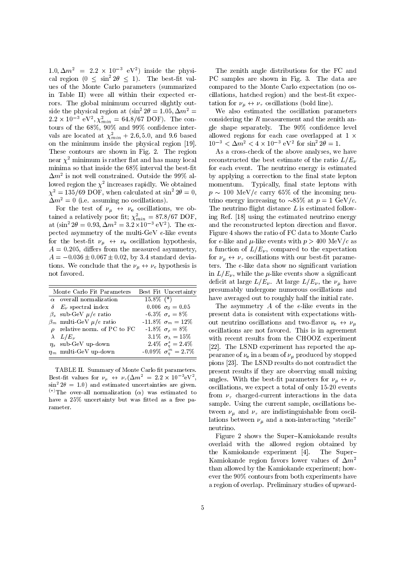$1.0, \Delta m^2 = 2.2 \times 10^{-7}$  eV<sup>-</sup>) inside the physical region  $(0 \le \sin^2 2\theta \le 1)$ . The best-fit values of the Monte Carlo parameters (summarized in Table II) were all within their expected errors. The global minimum occurred slightly outside the physical region at  $(\sin^2 2\theta = 1.05, \Delta m^2 =$ 2.2  $\times$  10  $^{-}$  ev<sup>-</sup>,  $\chi_{min}^-$  = 04.8/07 DOF). The contours of the  $68\%,\,90\%$  and  $99\%$  confidence intervals are located at  $\chi_{min}^+$  + 2.0, 5.0, and 9.0 based allow on the minimum inside the physical region [19]. These contours are shown in Fig. 2. The region near  $\chi^2$  minimum is rather flat and has many local minima so that inside the  $68\%$  interval the best-fit  $\Delta m^-$  is not well constrained. Outside the 99% allowed region the  $\chi$ - increases rapidly. We obtained a mone  $\chi^2 = 135/69$  DOF, when calculated at sin<sup>2</sup> 2 $\theta = 0$ ,  $\Delta m^2 = 0$  (i.e. assuming no oscillations).

 $\mathbf{f}$  the test of  $\mathbf{f}_k$  and  $\mathbf{f}_k$  corresponding, we obtained a relatively poor it;  $\chi_{min} = 87.8/67$  DOF,<br>at  $(\sin^2 2\theta = 0.93, \Delta m^2 = 3.2 \times 10^{-3} \text{ eV}^2)$ . The expected asymmetry of the multi-GeV e-like events for the best-fit  $\nu_{\mu} \leftrightarrow \nu_{e}$  oscillation hypothesis,  $A = 0.205$ , differs from the measured asymmetry,  $A = -0.036 \pm 0.067 \pm 0.02$ , by 3.4 standard deviations. We conclude that the  $\nu_\mu \leftrightarrow \nu_e$  hypothesis is not favored.

| Monte Carlo Fit Parameters        |              | Best Fit Uncertainty            |
|-----------------------------------|--------------|---------------------------------|
| $\alpha$ overall normalization    | $15.8\%$ (*) |                                 |
| $\delta$ $E_{\nu}$ spectral index |              | 0.006 $\sigma_{\delta} = 0.05$  |
| $\beta_s$ sub-GeV $\mu/e$ ratio   |              | $-6.3\% \ \sigma_s = 8\%$       |
| $\beta_m$ multi-GeV $\mu/e$ ratio |              | $-11.8\% \sigma_m = 12\%$       |
| $\rho$ relative norm. of PC to FC |              | $-1.8\% \sigma_{\rho} = 8\%$    |
| $\lambda$ $L/E_{\nu}$             |              | 3.1\% $\sigma_{\lambda} = 15\%$ |
| $\eta_s$ sub-GeV up-down          |              | 2.4\% $\sigma_{\eta}^s = 2.4\%$ |
| $\eta_m$ multi-GeV up-down        |              | $-0.09\% \ \sigma_n^m = 2.7\%$  |

TABLE II. Summary of Monte Carlo fit parameters. Best-nt values for  $\nu_{\mu} \leftrightarrow \nu_{\tau}(\Delta m) = 2.2 \times 10^{-4}$  eV,  $\sigma_{\text{av}}$  $\sin^2 2\theta = 1.0$  and estimated uncertainties are given. <sup>(\*)</sup>The over-all normalization ( $\alpha$ ) was estimated to have a 25% uncertainty but was fitted as a free parameter.

The zenith angle distributions for the FC and PC samples are shown in Fig. 3. The data are compared to the Monte Carlo expectation (no oscillations, hatched region) and the best-fit expectation for  $\nu_{\mu} \leftrightarrow \nu_{\tau}$  oscillations (bold line).

We also estimated the oscillation parameters considering the  $R$  measurement and the zenith angle shape separately. The 90% condence level allowed regions for each case overlapped at  $1 \times$  $10^{3} < \Delta m^{2} < 4 \times 10^{3}$  eV<sup>2</sup> for sin<sup>2</sup>  $2\theta = 1$ .

As a cross-check of the above analyses, we have reconstructed the best estimate of the ratio  $L/E_{\nu}$ for each event. The neutrino energy is estimated by applying a correction to the final state lepton momentum. Typically, final state leptons with  $p \sim 100$  MeV/c carry 65% of the incoming neutrino energy increasing to  $\sim 85\%$  at  $p = 1$  GeV/c. The neutrino flight distance  $L$  is estimated following Ref. [18] using the estimated neutrino energy and the reconstructed lepton direction and flavor. Figure 4 shows the ratio of FC data to Monte Carlo for e-like and  $\mu$ -like events with  $p > 400 \text{ MeV}/c$  as a function of  $L/E_{\nu}$ , compared to the expectation for  $\nu_{\mu} \leftrightarrow \nu_{\tau}$  oscillations with our best-fit parameters. The e-like data show no significant variation in  $L/E_{\nu}$ , while the  $\mu$ -like events show a significant deficit at large  $L/E_{\nu}$ . At large  $L/E_{\nu}$ , the  $\nu_{\mu}$  have presumably undergone numerous oscillations and have averaged out to roughly half the initial rate.

sub-GeV = ratio -6.3% s = 8% s = 8% s = 8% s = 8% s = 8% s = 8% s = 8% s = 8% s = 8% s = 8% s = 8% s = 8% s =  $m_{\text{max}}$  -1.8% m = 12% m = 1.8% and two-dimensions and two-mayor  $\mu_{\text{B}}$  with  $\mu_{\text{B}}$  $r = 1.8$  and  $r = 1.8$  is  $r = 8$  in FC is  $r = 8$ . This is in agreement to  $r = 8$ .  $\frac{3.1}{2}$ ,  $\frac{3.1}{2}$ ,  $\frac{3.1}{2}$ ,  $\frac{3.1}{2}$  with recent results from the CHOOZ experiment  $\mathbb{Z} = |22|$ . The LSND experiment has reported the ap- $\frac{1}{2}$  pearance of  $\nu_e$  in a beam of  $\nu_\mu$  produced by stopped , and the contract of the contract of the contract of the contract of the contract of the contract of the contract of the contract of the contract of the contract of the contract of the contract of the contract of the con The asymmetry A of the e-like events in the pions [23]. The LSND results do not contradict the present results if they are observing small mixing angles. With the best-fit parameters for  $\nu_{\mu} \leftrightarrow \nu_{\tau}$ oscillations, we expect a total of only 15-20 events from  $\nu_{\tau}$  charged-current interactions in the data sample. Using the current sample, oscillations between  $\nu_{\mu}$  and  $\nu_{\tau}$  are indistinguishable from oscillations between  $\nu_{\mu}$  and a non-interacting "sterile" neutrino.

> Figure 2 shows the Super-Kamiokande results overlaid with the allowed region obtained by the Kamiokande experiment [4]. The Super{ Kamiokande region favors lower values of  $\Delta m^2$ than allowed by the Kamiokande experiment; how ever the 90% contours from both experiments have a region of overlap. Preliminary studies of upward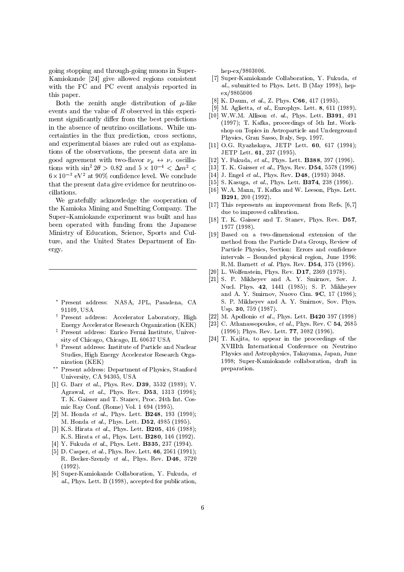going stopping and through-going muons in Super-Kamiokande [24] give allowed regions consistent with the FC and PC event analysis reported in this paper.

Both the zenith angle distribution of  $\mu$ -like events and the value of R observed in this experiment significantly differ from the best predictions in the absence of neutrino oscillations. While uncertainties in the flux prediction, cross sections, and experimental biases are ruled out as explanations of the observations, the present data are in good agreement with two-flavor  $\nu_{\mu} \leftrightarrow \nu_{\tau}$  oscillations with sin  $2\theta > 0.82$  and  $5 \times 10^{-1} < \Delta m^2 < 1$  [15] 1. K.  $0 \times 10^{-5}$  eV = at 90% confidence level. We conclude  $1 + 4$ that the present data give evidence for neutrino oscillations.

We gratefully acknowledge the cooperation of the Kamioka Mining and Smelting Company. The Super-Kamiokande experiment was built and has been operated with funding from the Japanese Ministry of Education, Science, Sports and Culture, and the United States Department of Energy.

- Present address: NASA, JPL, Pasadena, CA 91109, USA
- <sup>y</sup> Present address: Accelerator Laboratory, High Energy Accelerator Research Organization (KEK)
- <sup>z</sup> Present address: Enrico Fermi Institute, Univer sity of Chicago, Chicago, IL 60637 USA
- <sup>x</sup> Present address: Institute of Particle and Nuclear Studies, High Energy Accelerator Research Organization (KEK)
- Present address: Department of Physics, Stanford University, CA 94305, USA
- [1] G. Barr et al., Phys. Rev. D39, 3532 (1989); V. Agrawal, et al., Phys. Rev. D53, 1313 (1996); T. K. Gaisser and T. Stanev, Proc. 24th Int. Cosmic Ray Conf. (Rome) Vol. 1 694 (1995).
- [2] M. Honda et al., Phys. Lett.  $\bf{B248}$ , 193 (1990); M. Honda et al., Phys. Lett. D52, 4985 (1995).
- [3] K.S. Hirata et al., Phys. Lett. **B205**, 416 (1988); K.S. Hirata et al., Phys. Lett. B280, 146 (1992).
- [4] Y. Fukuda et al., Phys. Lett. **B335**, 237 (1994).
- [5] D. Casper, *et al.*, Phys. Rev. Lett. **66**, 2561 (1991); R. Becker-Szendy et al., Phys. Rev. D46, 3720 (1992).
- [6] Super-Kamiokande Collaboration, Y. Fukuda, et al., Phys. Lett. B (1998), accepted for publication,

hep-ex/9803006.

- [7] Super-Kamiokande Collaboration, Y. Fukuda, et al., submitted to Phys. Lett. B (May 1998), hepex/9805006
- [8] K. Daum, et al., Z. Phys. **C66**, 417 (1995).
- [9] M. Aglietta, et al., Europhys. Lett. 8, 611 (1989).
- [10] W.W.M. Allison et. al., Phys. Lett. B391, 491 (1997); T. Kafka, proceedings of 5th Int.Workshop on Topics in Astroparticle and Underground Physics, Gran Sasso, Italy, Sep. 1997.
- [11] O.G. Ryazhskaya, JETP Lett. 60, 617 (1994); JETP Lett. 61, 237 (1995).
- [12] Y. Fukuda, et al., Phys. Lett. **B388**, 397 (1996).
- [13] T. K. Gaisser et al., Phys. Rev. D54, 5578 (1996)
- [14] J. Engel et al., Phys. Rev. D48, (1993) 3048.
- [15] S. Kasuga, et al., Phys. Lett. **B374**, 238 (1996).
- [16] W.A. Mann, T. Kafka and W. Leeson, Phys. Lett. B291, 200 (1992).
- [17] This represents an improvement from Refs. [6,7] due to improved calibration.
- [18] T. K. Gaisser and T. Stanev, Phys. Rev. D57, 1977 (1998).
- [19] Based on a two-dimensional extension of the method from the Particle Data Group, Review of Particle Physics, Section: Errors and confidence intervals { Bounded physical region, June 1996: R.M. Barnett et al. Phys. Rev. D54, 375 (1996).
- [20] L. Wolfenstein, Phys. Rev. D17, 2369 (1978).
- [21] S. P. Mikheyev and A. Y. Smirnov, Sov. J. Nucl. Phys. 42, 1441 (1985); S. P. Mikheyev and A. Y. Smirnov, Nuovo Cim. 9C, 17 (1986); S. P. Mikheyev and A. Y. Smirnov, Sov. Phys. Usp. 30, 759 (1987).
- [22] M. Apollonio et al., Phys. Lett. **B420** 397 (1998)
- [23] C. Athanassopoulos, et al., Phys. Rev. C 54, 2685 (1996); Phys. Rev. Lett. 77, 3082 (1996).
- [24] T. Kajita, to appear in the proceedings of the XVIIIth International Conference on Neutrino Physics and Astrophysics, Takayama, Japan, June 1998; Super-Kamiokande collaboration, draft in preparation.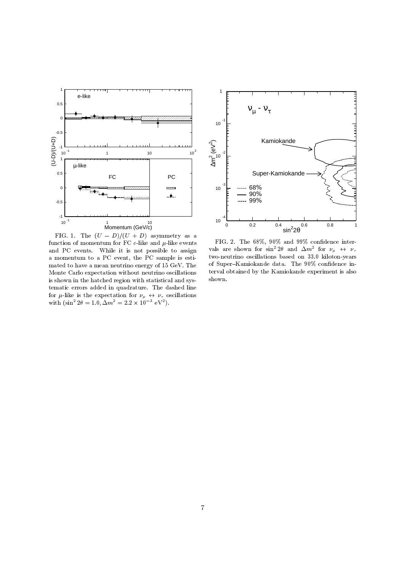

FIG. 1. The  $(U - D)/(U + D)$  asymmetry as a function of momentum for FC  $e$ -like and  $\mu$ -like events and PC events. While it is not possible to assign a momentum to a PC event, the PC sample is estimated to have a mean neutrino energy of 15 GeV. The Monte Carlo expectation without neutrino oscillations is shown in the hatched region with statistical and systematic errors added in quadrature. The dashed line with  $(\sin^2 2\theta = 1.0, \Delta m^2 = 2.2 \times 10^{-3} \text{ eV}^2)$ .



FIG. 2. The  $68\%$ ,  $90\%$  and  $99\%$  confidence intervals are shown for sin<sup>-</sup>  $2\theta$  and  $\Delta m$ <sup>-</sup> for  $\nu_{\mu} \leftrightarrow \nu_{\tau}$ two-neutrino oscillations based on 33.0 kiloton-years of Super-Kamiokande data. The 90% confidence interval obtained by the Kamiokande experiment is also shown.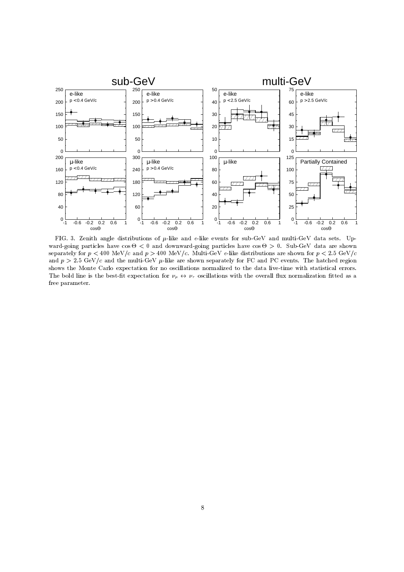

FIG. 3. Zenith angle distributions of  $\mu$ -like and  $e$ -like events for sub-GeV and multi-GeV data sets. Upward-going particles have cost - 0. Sub-GeV data are shown ward-going particles have cost of the cost of the cos separately for  $p < 400 \text{ MeV}/c$  and  $p > 400 \text{ MeV}/c$ . Multi-GeV e-like distributions are shown for  $p < 2.5 \text{ GeV}/c$ and  $p > 2.5$  GeV/c and the multi-GeV  $\mu$ -like are shown separately for FC and PC events. The hatched region shows the Monte Carlo expectation for no oscillations normalized to the data live-time with statistical errors. The bold line is the best-fit expectation for  $\nu_{\mu} \leftrightarrow \nu_{\tau}$  oscillations with the overall flux normalization fitted as a free parameter.